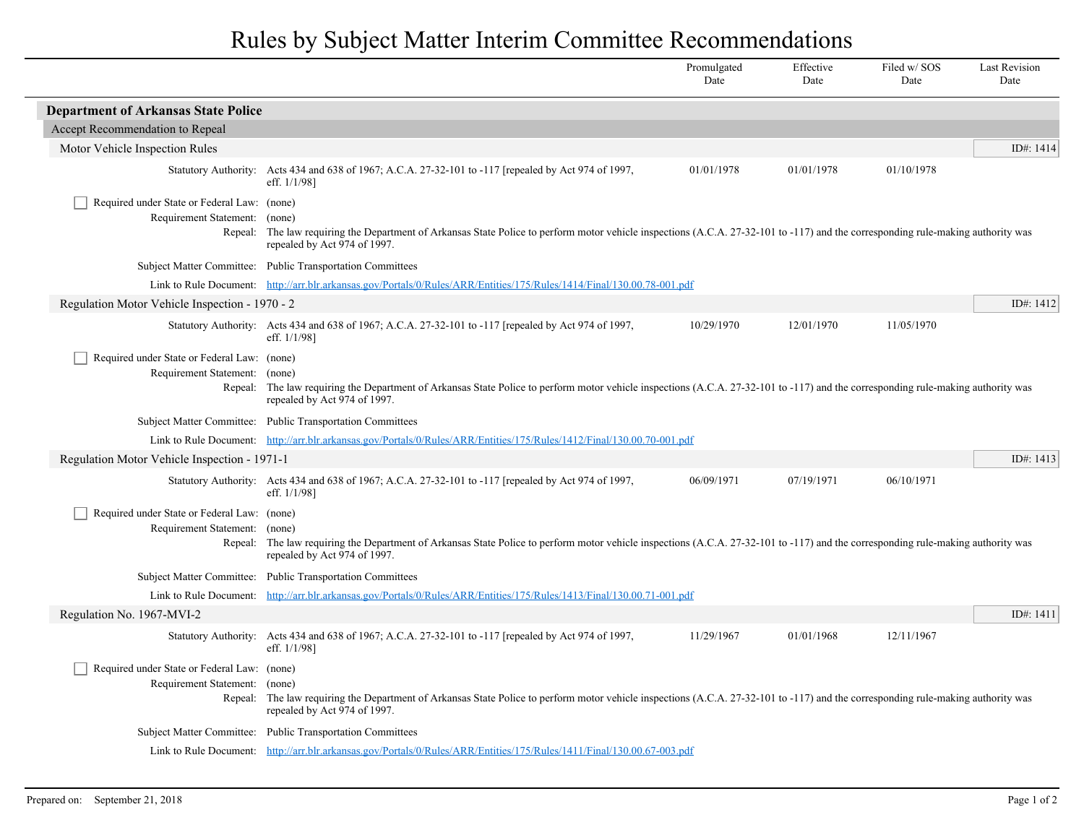## Rules by Subject Matter Interim Committee Recommendations

|                                                                                  |                                                                                                                                                                                                                             | Promulgated<br>Date | Effective<br>Date | Filed w/SOS<br>Date | <b>Last Revision</b><br>Date |
|----------------------------------------------------------------------------------|-----------------------------------------------------------------------------------------------------------------------------------------------------------------------------------------------------------------------------|---------------------|-------------------|---------------------|------------------------------|
| <b>Department of Arkansas State Police</b>                                       |                                                                                                                                                                                                                             |                     |                   |                     |                              |
| Accept Recommendation to Repeal                                                  |                                                                                                                                                                                                                             |                     |                   |                     |                              |
| Motor Vehicle Inspection Rules                                                   |                                                                                                                                                                                                                             |                     |                   |                     | ID#: 1414                    |
|                                                                                  | Statutory Authority: Acts 434 and 638 of 1967; A.C.A. 27-32-101 to -117 [repealed by Act 974 of 1997,<br>eff. $1/1/98$ ]                                                                                                    | 01/01/1978          | 01/01/1978        | 01/10/1978          |                              |
| Required under State or Federal Law: (none)<br>Requirement Statement:            | (none)<br>Repeal: The law requiring the Department of Arkansas State Police to perform motor vehicle inspections (A.C.A. 27-32-101 to -117) and the corresponding rule-making authority was<br>repealed by Act 974 of 1997. |                     |                   |                     |                              |
|                                                                                  | Subject Matter Committee: Public Transportation Committees                                                                                                                                                                  |                     |                   |                     |                              |
|                                                                                  | Link to Rule Document: http://arr.blr.arkansas.gov/Portals/0/Rules/ARR/Entities/175/Rules/1414/Final/130.00.78-001.pdf                                                                                                      |                     |                   |                     |                              |
| Regulation Motor Vehicle Inspection - 1970 - 2                                   |                                                                                                                                                                                                                             |                     |                   |                     | ID#: 1412                    |
|                                                                                  | Statutory Authority: Acts 434 and 638 of 1967; A.C.A. 27-32-101 to -117 [repealed by Act 974 of 1997,<br>eff. 1/1/98]                                                                                                       | 10/29/1970          | 12/01/1970        | 11/05/1970          |                              |
| Required under State or Federal Law: (none)<br>Requirement Statement:<br>Repeal: | (none)<br>The law requiring the Department of Arkansas State Police to perform motor vehicle inspections (A.C.A. 27-32-101 to -117) and the corresponding rule-making authority was<br>repealed by Act 974 of 1997.         |                     |                   |                     |                              |
|                                                                                  | Subject Matter Committee: Public Transportation Committees                                                                                                                                                                  |                     |                   |                     |                              |
|                                                                                  | Link to Rule Document: http://arr.blr.arkansas.gov/Portals/0/Rules/ARR/Entities/175/Rules/1412/Final/130.00.70-001.pdf                                                                                                      |                     |                   |                     |                              |
| Regulation Motor Vehicle Inspection - 1971-1                                     |                                                                                                                                                                                                                             |                     |                   |                     | ID#: 1413                    |
|                                                                                  | Statutory Authority: Acts 434 and 638 of 1967; A.C.A. 27-32-101 to -117 [repealed by Act 974 of 1997,<br>eff. 1/1/98]                                                                                                       | 06/09/1971          | 07/19/1971        | 06/10/1971          |                              |
| Required under State or Federal Law: (none)<br>Requirement Statement:            | (none)<br>Repeal: The law requiring the Department of Arkansas State Police to perform motor vehicle inspections (A.C.A. 27-32-101 to -117) and the corresponding rule-making authority was<br>repealed by Act 974 of 1997. |                     |                   |                     |                              |
|                                                                                  | Subject Matter Committee: Public Transportation Committees                                                                                                                                                                  |                     |                   |                     |                              |
|                                                                                  | Link to Rule Document: http://arr.blr.arkansas.gov/Portals/0/Rules/ARR/Entities/175/Rules/1413/Final/130.00.71-001.pdf                                                                                                      |                     |                   |                     |                              |
| Regulation No. 1967-MVI-2                                                        |                                                                                                                                                                                                                             |                     |                   |                     | ID#: 1411                    |
|                                                                                  | Statutory Authority: Acts 434 and 638 of 1967; A.C.A. 27-32-101 to -117 [repealed by Act 974 of 1997,<br>eff. 1/1/98]                                                                                                       | 11/29/1967          | 01/01/1968        | 12/11/1967          |                              |
| Required under State or Federal Law: (none)<br>Requirement Statement:            | (none)<br>Repeal: The law requiring the Department of Arkansas State Police to perform motor vehicle inspections (A.C.A. 27-32-101 to -117) and the corresponding rule-making authority was<br>repealed by Act 974 of 1997. |                     |                   |                     |                              |
|                                                                                  | Subject Matter Committee: Public Transportation Committees                                                                                                                                                                  |                     |                   |                     |                              |
|                                                                                  | Link to Rule Document: http://arr.blr.arkansas.gov/Portals/0/Rules/ARR/Entities/175/Rules/1411/Final/130.00.67-003.pdf                                                                                                      |                     |                   |                     |                              |